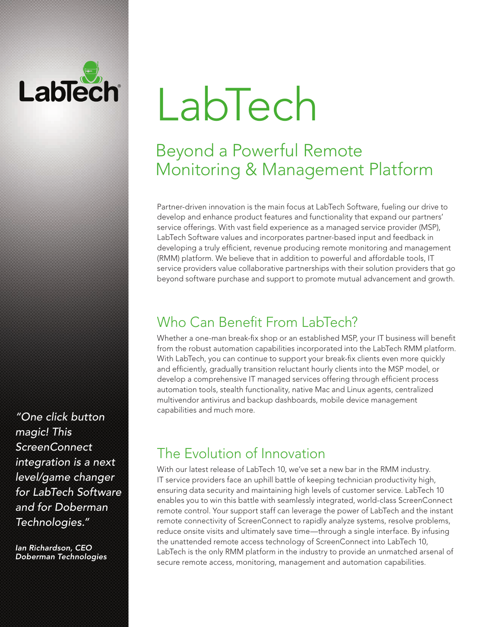# Lablech

"One click button magic! This ScreenConnect integration is a next level/game changer for LabTech Software and for Doberman Technologies."

Ian Richardson, CEO Doberman Technologies

# LabTech

## Beyond a Powerful Remote Monitoring & Management Platform

Partner-driven innovation is the main focus at LabTech Software, fueling our drive to develop and enhance product features and functionality that expand our partners' service offerings. With vast field experience as a managed service provider (MSP), LabTech Software values and incorporates partner-based input and feedback in developing a truly efficient, revenue producing remote monitoring and management (RMM) platform. We believe that in addition to powerful and affordable tools, IT service providers value collaborative partnerships with their solution providers that go beyond software purchase and support to promote mutual advancement and growth.

## Who Can Benefit From LabTech?

Whether a one-man break-fix shop or an established MSP, your IT business will benefit from the robust automation capabilities incorporated into the LabTech RMM platform. With LabTech, you can continue to support your break-fix clients even more quickly and efficiently, gradually transition reluctant hourly clients into the MSP model, or develop a comprehensive IT managed services offering through efficient process automation tools, stealth functionality, native Mac and Linux agents, centralized multivendor antivirus and backup dashboards, mobile device management capabilities and much more.

## The Evolution of Innovation

With our latest release of LabTech 10, we've set a new bar in the RMM industry. IT service providers face an uphill battle of keeping technician productivity high, ensuring data security and maintaining high levels of customer service. LabTech 10 enables you to win this battle with seamlessly integrated, world-class ScreenConnect remote control. Your support staff can leverage the power of LabTech and the instant remote connectivity of ScreenConnect to rapidly analyze systems, resolve problems, reduce onsite visits and ultimately save time—through a single interface. By infusing the unattended remote access technology of ScreenConnect into LabTech 10, LabTech is the only RMM platform in the industry to provide an unmatched arsenal of secure remote access, monitoring, management and automation capabilities.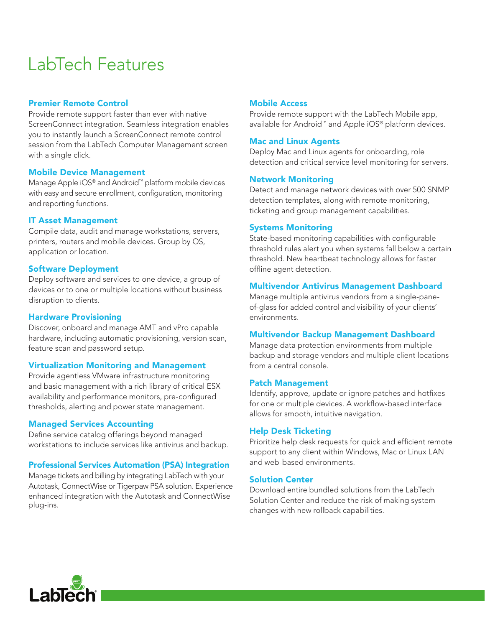# LabTech Features

#### Premier Remote Control

Provide remote support faster than ever with native ScreenConnect integration. Seamless integration enables you to instantly launch a ScreenConnect remote control session from the LabTech Computer Management screen with a single click.

#### Mobile Device Management

Manage Apple iOS® and Android™ platform mobile devices with easy and secure enrollment, configuration, monitoring and reporting functions.

#### IT Asset Management

Compile data, audit and manage workstations, servers, printers, routers and mobile devices. Group by OS, application or location.

#### Software Deployment

Deploy software and services to one device, a group of devices or to one or multiple locations without business disruption to clients.

#### Hardware Provisioning

Discover, onboard and manage AMT and vPro capable hardware, including automatic provisioning, version scan, feature scan and password setup.

#### Virtualization Monitoring and Management

Provide agentless VMware infrastructure monitoring and basic management with a rich library of critical ESX availability and performance monitors, pre-configured thresholds, alerting and power state management.

#### Managed Services Accounting

Define service catalog offerings beyond managed workstations to include services like antivirus and backup.

#### Professional Services Automation (PSA) Integration

Manage tickets and billing by integrating LabTech with your Autotask, ConnectWise or Tigerpaw PSA solution. Experience enhanced integration with the Autotask and ConnectWise plug-ins.

#### Mobile Access

Provide remote support with the LabTech Mobile app, available for Android™ and Apple iOS® platform devices.

#### Mac and Linux Agents

Deploy Mac and Linux agents for onboarding, role detection and critical service level monitoring for servers.

#### Network Monitoring

Detect and manage network devices with over 500 SNMP detection templates, along with remote monitoring, ticketing and group management capabilities.

#### Systems Monitoring

State-based monitoring capabilities with configurable threshold rules alert you when systems fall below a certain threshold. New heartbeat technology allows for faster offline agent detection.

#### Multivendor Antivirus Management Dashboard

Manage multiple antivirus vendors from a single-paneof-glass for added control and visibility of your clients' environments.

#### Multivendor Backup Management Dashboard

Manage data protection environments from multiple backup and storage vendors and multiple client locations from a central console.

#### Patch Management

Identify, approve, update or ignore patches and hotfixes for one or multiple devices. A workflow-based interface allows for smooth, intuitive navigation.

#### Help Desk Ticketing

Prioritize help desk requests for quick and efficient remote support to any client within Windows, Mac or Linux LAN and web-based environments.

#### Solution Center

Download entire bundled solutions from the LabTech Solution Center and reduce the risk of making system changes with new rollback capabilities.

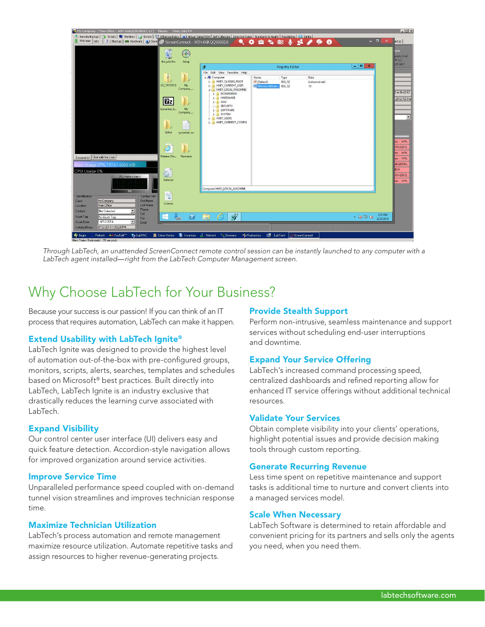

Through LabTech, an unattended ScreenConnect remote control session can be instantly launched to any computer with a LabTech agent installed—right from the LabTech Computer Management screen.

### Why Choose LabTech for Your Business?

Because your success is our passion! If you can think of an IT process that requires automation, LabTech can make it happen.

#### Extend Usability with LabTech Ignite®

LabTech Ignite was designed to provide the highest level of automation out-of-the-box with pre-configured groups, monitors, scripts, alerts, searches, templates and schedules based on Microsoft® best practices. Built directly into LabTech, LabTech Ignite is an industry exclusive that drastically reduces the learning curve associated with LabTech.

#### Expand Visibility

Our control center user interface (UI) delivers easy and quick feature detection. Accordion-style navigation allows for improved organization around service activities.

#### Improve Service Time

Unparalleled performance speed coupled with on-demand tunnel vision streamlines and improves technician response time.

#### Maximize Technician Utilization

LabTech's process automation and remote management maximize resource utilization. Automate repetitive tasks and assign resources to higher revenue-generating projects.

#### Provide Stealth Support

Perform non-intrusive, seamless maintenance and support services without scheduling end-user interruptions and downtime.

#### Expand Your Service Offering

LabTech's increased command processing speed, centralized dashboards and refined reporting allow for enhanced IT service offerings without additional technical resources.

#### Validate Your Services

Obtain complete visibility into your clients' operations, highlight potential issues and provide decision making tools through custom reporting.

#### Generate Recurring Revenue

Less time spent on repetitive maintenance and support tasks is additional time to nurture and convert clients into a managed services model.

#### Scale When Necessary

LabTech Software is determined to retain affordable and convenient pricing for its partners and sells only the agents you need, when you need them.